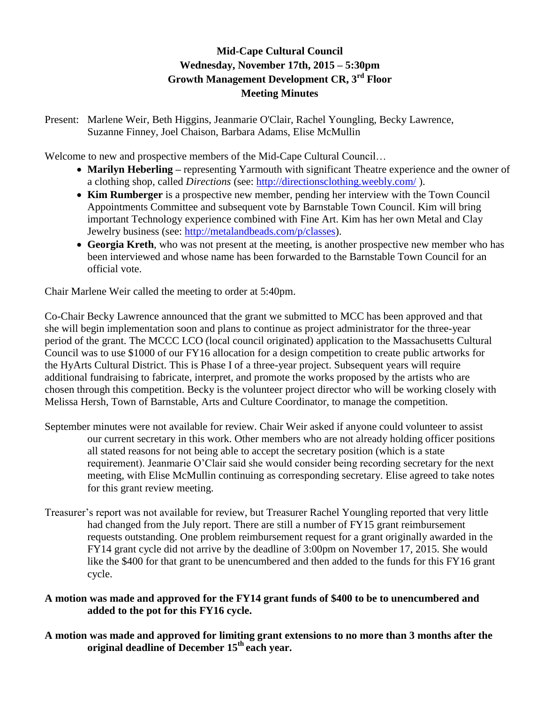# **Mid-Cape Cultural Council Wednesday, November 17th, 2015 – 5:30pm Growth Management Development CR, 3rd Floor Meeting Minutes**

Present: Marlene Weir, Beth Higgins, Jeanmarie O'Clair, Rachel Youngling, Becky Lawrence, Suzanne Finney, Joel Chaison, Barbara Adams, Elise McMullin

Welcome to new and prospective members of the Mid-Cape Cultural Council…

- Marilyn Heberling representing Yarmouth with significant Theatre experience and the owner of a clothing shop, called *Directions* (see:<http://directionsclothing.weebly.com/> ).
- **Kim Rumberger** is a prospective new member, pending her interview with the Town Council Appointments Committee and subsequent vote by Barnstable Town Council. Kim will bring important Technology experience combined with Fine Art. Kim has her own Metal and Clay Jewelry business (see: [http://metalandbeads.com/p/classes\)](http://metalandbeads.com/p/classes).
- **Georgia Kreth**, who was not present at the meeting, is another prospective new member who has been interviewed and whose name has been forwarded to the Barnstable Town Council for an official vote.

Chair Marlene Weir called the meeting to order at 5:40pm.

Co-Chair Becky Lawrence announced that the grant we submitted to MCC has been approved and that she will begin implementation soon and plans to continue as project administrator for the three-year period of the grant. The MCCC LCO (local council originated) application to the Massachusetts Cultural Council was to use \$1000 of our FY16 allocation for a design competition to create public artworks for the HyArts Cultural District. This is Phase I of a three-year project. Subsequent years will require additional fundraising to fabricate, interpret, and promote the works proposed by the artists who are chosen through this competition. Becky is the volunteer project director who will be working closely with Melissa Hersh, Town of Barnstable, Arts and Culture Coordinator, to manage the competition.

- September minutes were not available for review. Chair Weir asked if anyone could volunteer to assist our current secretary in this work. Other members who are not already holding officer positions all stated reasons for not being able to accept the secretary position (which is a state requirement). Jeanmarie O'Clair said she would consider being recording secretary for the next meeting, with Elise McMullin continuing as corresponding secretary. Elise agreed to take notes for this grant review meeting.
- Treasurer's report was not available for review, but Treasurer Rachel Youngling reported that very little had changed from the July report. There are still a number of FY15 grant reimbursement requests outstanding. One problem reimbursement request for a grant originally awarded in the FY14 grant cycle did not arrive by the deadline of 3:00pm on November 17, 2015. She would like the \$400 for that grant to be unencumbered and then added to the funds for this FY16 grant cycle.

## **A motion was made and approved for the FY14 grant funds of \$400 to be to unencumbered and added to the pot for this FY16 cycle.**

**A motion was made and approved for limiting grant extensions to no more than 3 months after the original deadline of December 15th each year.**